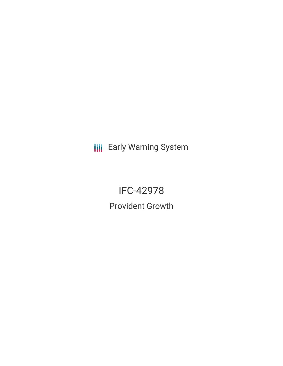**III** Early Warning System

IFC-42978 Provident Growth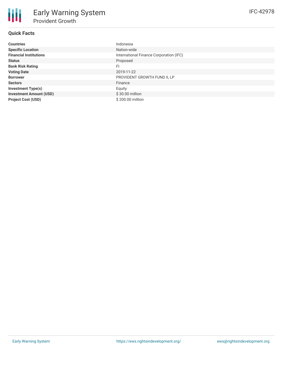# **Quick Facts**

| <b>Countries</b>               | Indonesia                               |
|--------------------------------|-----------------------------------------|
| <b>Specific Location</b>       | Nation-wide                             |
| <b>Financial Institutions</b>  | International Finance Corporation (IFC) |
| <b>Status</b>                  | Proposed                                |
| <b>Bank Risk Rating</b>        | FI                                      |
| <b>Voting Date</b>             | 2019-11-22                              |
| <b>Borrower</b>                | PROVIDENT GROWTH FUND II, LP            |
| <b>Sectors</b>                 | Finance                                 |
| <b>Investment Type(s)</b>      | Equity                                  |
| <b>Investment Amount (USD)</b> | $$30.00$ million                        |
| <b>Project Cost (USD)</b>      | \$200.00 million                        |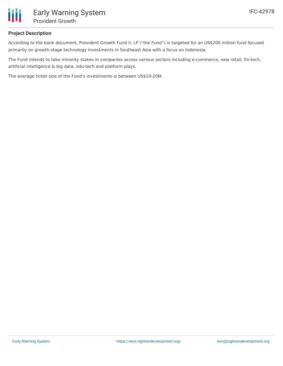

### **Project Description**

According to the bank document, Provident Growth Fund II, LP ("the Fund") is targeted for an US\$200 million fund focused primarily on growth-stage technology investments in Southeast Asia with a focus on Indonesia.

The Fund intends to take minority stakes in companies across various sectors including e-commerce, new retail, fin-tech, artificial intelligence & big data, edu-tech and platform plays.

The average ticket size of the Fund's investments is between US\$10-20M.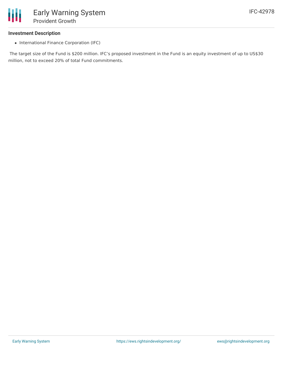

#### **Investment Description**

• International Finance Corporation (IFC)

The target size of the Fund is \$200 million. IFC's proposed investment in the Fund is an equity investment of up to US\$30 million, not to exceed 20% of total Fund commitments.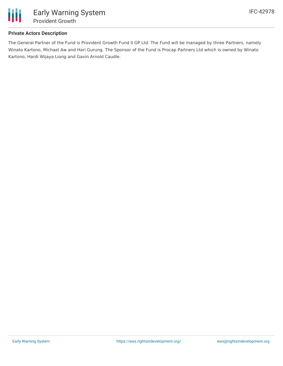

## **Private Actors Description**

The General Partner of the Fund is Provident Growth Fund II GP Ltd. The Fund will be managed by three Partners, namely Winato Kartono, Michael Aw and Hari Gurung. The Sponsor of the Fund is Procap Partners Ltd which is owned by Winato Kartono, Hardi Wijaya Liong and Gavin Arnold Caudle.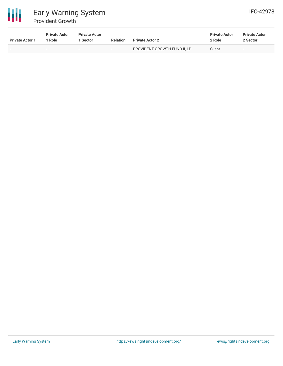

# Early Warning System Provident Growth

| <b>Private Actor 1</b> | <b>Private Actor</b><br>Role | <b>Private Actor</b><br><b>Sector</b> | <b>Relation</b>          | <b>Private Actor 2</b>       | <b>Private Actor</b><br>2 Role | <b>Private Actor</b><br>2 Sector |
|------------------------|------------------------------|---------------------------------------|--------------------------|------------------------------|--------------------------------|----------------------------------|
| $\sim$                 | $\overline{\phantom{a}}$     | $\sim$                                | $\overline{\phantom{0}}$ | PROVIDENT GROWTH FUND II, LP | Client                         | $\overline{\phantom{a}}$         |